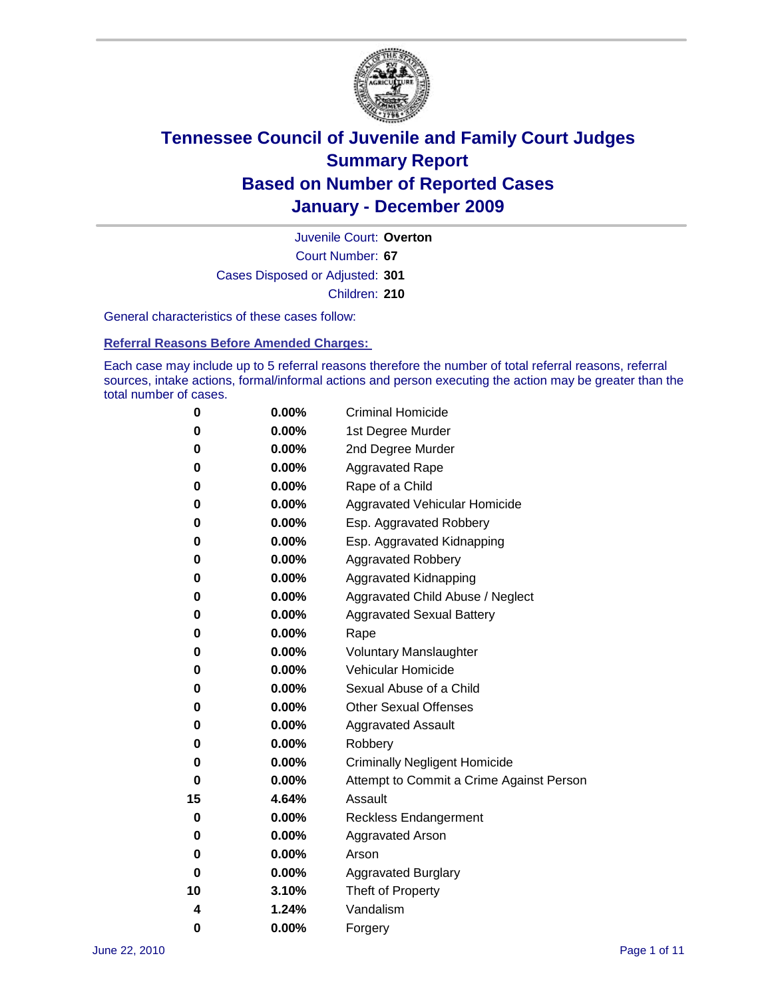

Court Number: **67** Juvenile Court: **Overton** Cases Disposed or Adjusted: **301** Children: **210**

General characteristics of these cases follow:

**Referral Reasons Before Amended Charges:** 

Each case may include up to 5 referral reasons therefore the number of total referral reasons, referral sources, intake actions, formal/informal actions and person executing the action may be greater than the total number of cases.

| 0  | 0.00%    | <b>Criminal Homicide</b>                 |
|----|----------|------------------------------------------|
| 0  | 0.00%    | 1st Degree Murder                        |
| 0  | 0.00%    | 2nd Degree Murder                        |
| 0  | 0.00%    | <b>Aggravated Rape</b>                   |
| 0  | 0.00%    | Rape of a Child                          |
| 0  | 0.00%    | Aggravated Vehicular Homicide            |
| 0  | 0.00%    | Esp. Aggravated Robbery                  |
| 0  | 0.00%    | Esp. Aggravated Kidnapping               |
| 0  | 0.00%    | <b>Aggravated Robbery</b>                |
| 0  | 0.00%    | Aggravated Kidnapping                    |
| 0  | 0.00%    | Aggravated Child Abuse / Neglect         |
| 0  | 0.00%    | <b>Aggravated Sexual Battery</b>         |
| 0  | 0.00%    | Rape                                     |
| 0  | 0.00%    | <b>Voluntary Manslaughter</b>            |
| 0  | 0.00%    | Vehicular Homicide                       |
| 0  | 0.00%    | Sexual Abuse of a Child                  |
| 0  | 0.00%    | <b>Other Sexual Offenses</b>             |
| 0  | 0.00%    | <b>Aggravated Assault</b>                |
| 0  | $0.00\%$ | Robbery                                  |
| 0  | 0.00%    | <b>Criminally Negligent Homicide</b>     |
| 0  | 0.00%    | Attempt to Commit a Crime Against Person |
| 15 | 4.64%    | Assault                                  |
| 0  | 0.00%    | <b>Reckless Endangerment</b>             |
| 0  | 0.00%    | <b>Aggravated Arson</b>                  |
| 0  | 0.00%    | Arson                                    |
| 0  | 0.00%    | <b>Aggravated Burglary</b>               |
| 10 | 3.10%    | Theft of Property                        |
| 4  | 1.24%    | Vandalism                                |
| 0  | 0.00%    | Forgery                                  |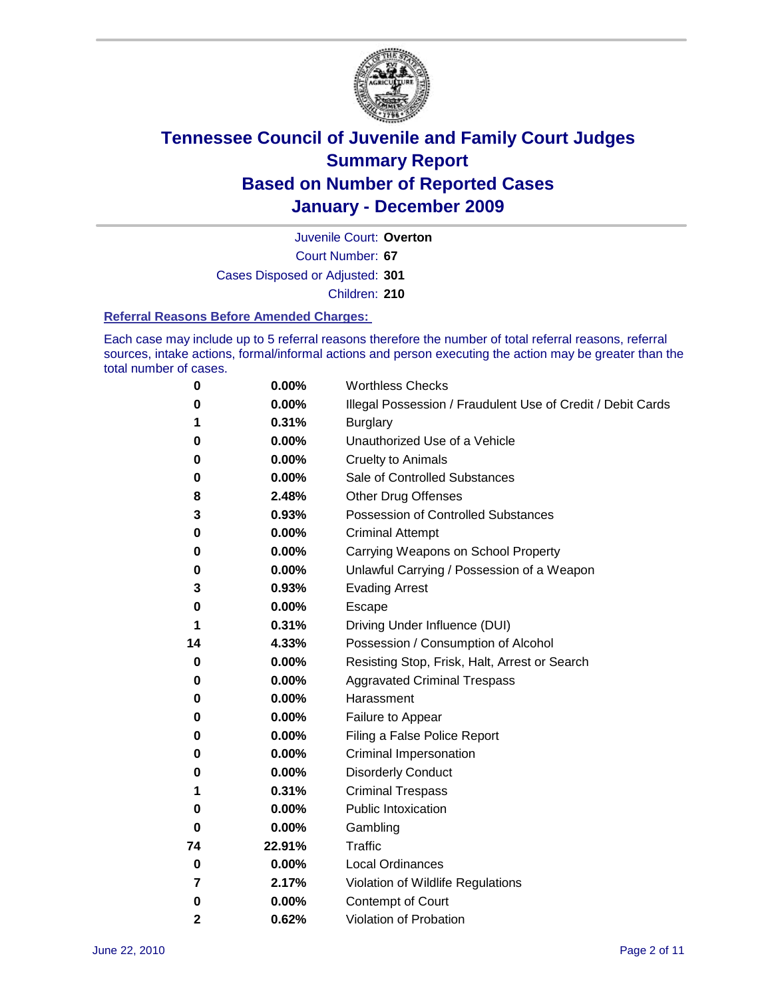

Court Number: **67** Juvenile Court: **Overton** Cases Disposed or Adjusted: **301** Children: **210**

#### **Referral Reasons Before Amended Charges:**

Each case may include up to 5 referral reasons therefore the number of total referral reasons, referral sources, intake actions, formal/informal actions and person executing the action may be greater than the total number of cases.

| 0  | 0.00%    | <b>Worthless Checks</b>                                     |
|----|----------|-------------------------------------------------------------|
| 0  | 0.00%    | Illegal Possession / Fraudulent Use of Credit / Debit Cards |
| 1  | 0.31%    | <b>Burglary</b>                                             |
| 0  | 0.00%    | Unauthorized Use of a Vehicle                               |
| 0  | 0.00%    | <b>Cruelty to Animals</b>                                   |
| 0  | 0.00%    | Sale of Controlled Substances                               |
| 8  | 2.48%    | <b>Other Drug Offenses</b>                                  |
| 3  | 0.93%    | <b>Possession of Controlled Substances</b>                  |
| 0  | 0.00%    | <b>Criminal Attempt</b>                                     |
| 0  | 0.00%    | Carrying Weapons on School Property                         |
| 0  | 0.00%    | Unlawful Carrying / Possession of a Weapon                  |
| 3  | 0.93%    | <b>Evading Arrest</b>                                       |
| 0  | 0.00%    | Escape                                                      |
| 1  | 0.31%    | Driving Under Influence (DUI)                               |
| 14 | 4.33%    | Possession / Consumption of Alcohol                         |
| 0  | $0.00\%$ | Resisting Stop, Frisk, Halt, Arrest or Search               |
| 0  | $0.00\%$ | <b>Aggravated Criminal Trespass</b>                         |
| 0  | $0.00\%$ | Harassment                                                  |
| 0  | 0.00%    | Failure to Appear                                           |
| 0  | 0.00%    | Filing a False Police Report                                |
| 0  | 0.00%    | Criminal Impersonation                                      |
| 0  | 0.00%    | <b>Disorderly Conduct</b>                                   |
| 1  | 0.31%    | <b>Criminal Trespass</b>                                    |
| 0  | 0.00%    | <b>Public Intoxication</b>                                  |
| 0  | $0.00\%$ | Gambling                                                    |
| 74 | 22.91%   | Traffic                                                     |
| 0  | $0.00\%$ | <b>Local Ordinances</b>                                     |
| 7  | 2.17%    | Violation of Wildlife Regulations                           |
| 0  | 0.00%    | Contempt of Court                                           |
| 2  | 0.62%    | Violation of Probation                                      |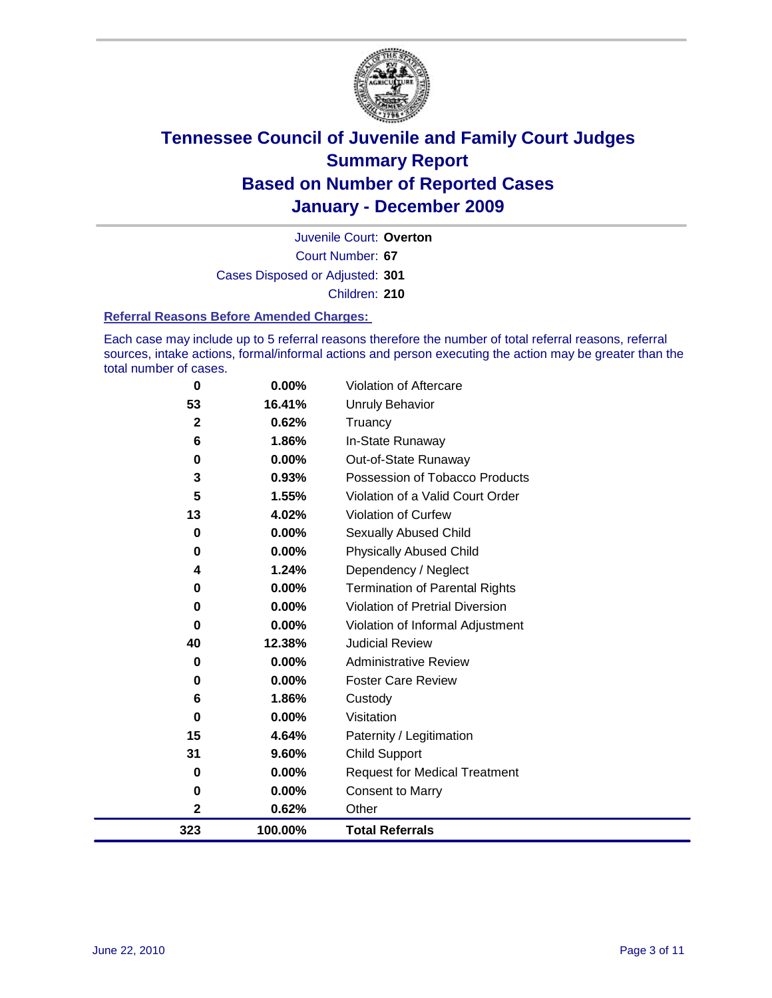

Court Number: **67** Juvenile Court: **Overton** Cases Disposed or Adjusted: **301** Children: **210**

#### **Referral Reasons Before Amended Charges:**

Each case may include up to 5 referral reasons therefore the number of total referral reasons, referral sources, intake actions, formal/informal actions and person executing the action may be greater than the total number of cases.

| 0            | 0.00%   | Violation of Aftercare                 |
|--------------|---------|----------------------------------------|
| 53           | 16.41%  | <b>Unruly Behavior</b>                 |
| $\mathbf{2}$ | 0.62%   | Truancy                                |
| 6            | 1.86%   | In-State Runaway                       |
| 0            | 0.00%   | Out-of-State Runaway                   |
| 3            | 0.93%   | Possession of Tobacco Products         |
| 5            | 1.55%   | Violation of a Valid Court Order       |
| 13           | 4.02%   | Violation of Curfew                    |
| 0            | 0.00%   | <b>Sexually Abused Child</b>           |
| 0            | 0.00%   | <b>Physically Abused Child</b>         |
| 4            | 1.24%   | Dependency / Neglect                   |
| 0            | 0.00%   | <b>Termination of Parental Rights</b>  |
| 0            | 0.00%   | <b>Violation of Pretrial Diversion</b> |
| 0            | 0.00%   | Violation of Informal Adjustment       |
| 40           | 12.38%  | <b>Judicial Review</b>                 |
| 0            | 0.00%   | <b>Administrative Review</b>           |
| 0            | 0.00%   | <b>Foster Care Review</b>              |
| 6            | 1.86%   | Custody                                |
| 0            | 0.00%   | Visitation                             |
| 15           | 4.64%   | Paternity / Legitimation               |
| 31           | 9.60%   | <b>Child Support</b>                   |
| 0            | 0.00%   | <b>Request for Medical Treatment</b>   |
| 0            | 0.00%   | <b>Consent to Marry</b>                |
| 2            | 0.62%   | Other                                  |
| 323          | 100.00% | <b>Total Referrals</b>                 |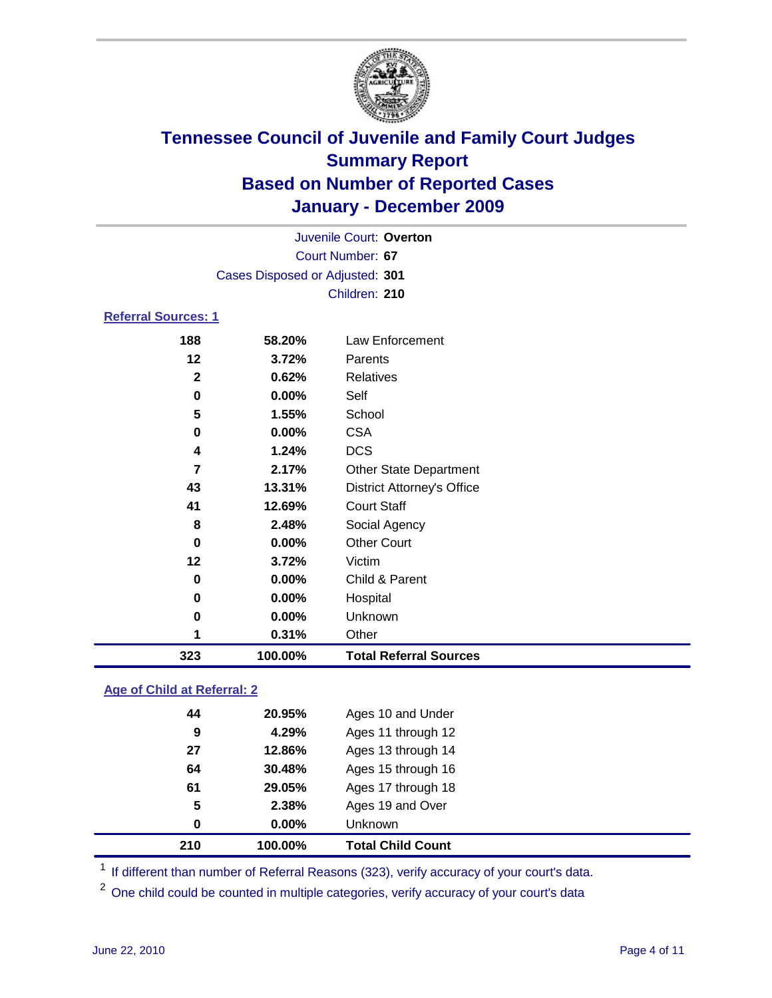

|                     |                                 | Juvenile Court: Overton           |  |  |  |
|---------------------|---------------------------------|-----------------------------------|--|--|--|
|                     | Court Number: 67                |                                   |  |  |  |
|                     | Cases Disposed or Adjusted: 301 |                                   |  |  |  |
|                     |                                 | Children: 210                     |  |  |  |
| Referral Sources: 1 |                                 |                                   |  |  |  |
| 188                 | 58.20%                          | Law Enforcement                   |  |  |  |
| 12                  | 3.72%                           | Parents                           |  |  |  |
| $\mathbf{2}$        | 0.62%                           | Relatives                         |  |  |  |
| 0                   | 0.00%                           | Self                              |  |  |  |
| 5                   | 1.55%                           | School                            |  |  |  |
| 0                   | 0.00%                           | <b>CSA</b>                        |  |  |  |
| 4                   | 1.24%                           | <b>DCS</b>                        |  |  |  |
| 7                   | 2.17%                           | <b>Other State Department</b>     |  |  |  |
| 43                  | 13.31%                          | <b>District Attorney's Office</b> |  |  |  |
| 41                  | 12.69%                          | <b>Court Staff</b>                |  |  |  |
| 8                   | 2.48%                           | Social Agency                     |  |  |  |
| $\bf{0}$            | $0.00\%$                        | <b>Other Court</b>                |  |  |  |
| 12                  | 3.72%                           | Victim                            |  |  |  |
| 0                   | $0.00\%$                        | Child & Parent                    |  |  |  |
| 0                   | $0.00\%$                        | Hospital                          |  |  |  |

### **Age of Child at Referral: 2**

| 210 | 100.00% | <b>Total Child Count</b> |
|-----|---------|--------------------------|
| 0   | 0.00%   | Unknown                  |
| 5   | 2.38%   | Ages 19 and Over         |
| 61  | 29.05%  | Ages 17 through 18       |
| 64  | 30.48%  | Ages 15 through 16       |
| 27  | 12.86%  | Ages 13 through 14       |
| 9   | 4.29%   | Ages 11 through 12       |
| 44  | 20.95%  | Ages 10 and Under        |
|     |         |                          |

<sup>1</sup> If different than number of Referral Reasons (323), verify accuracy of your court's data.

 **0.00%** Unknown **0.31%** Other

**100.00% Total Referral Sources**

<sup>2</sup> One child could be counted in multiple categories, verify accuracy of your court's data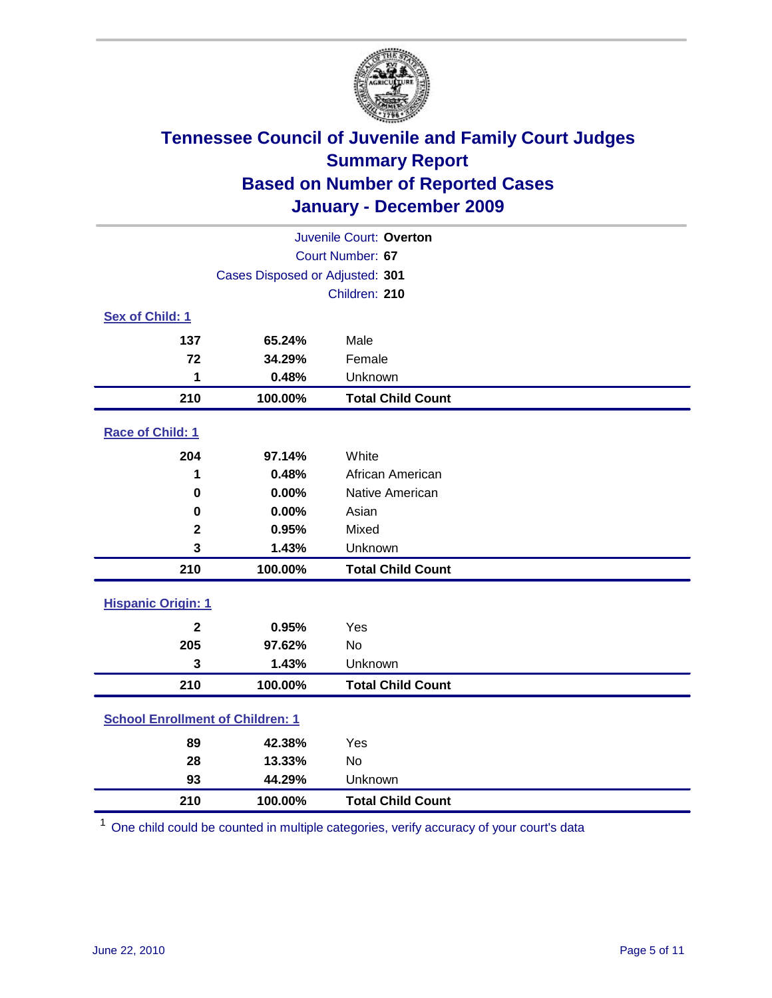

| Juvenile Court: Overton                 |                                 |                          |  |  |  |
|-----------------------------------------|---------------------------------|--------------------------|--|--|--|
|                                         | Court Number: 67                |                          |  |  |  |
|                                         | Cases Disposed or Adjusted: 301 |                          |  |  |  |
|                                         |                                 | Children: 210            |  |  |  |
| Sex of Child: 1                         |                                 |                          |  |  |  |
| 137                                     | 65.24%                          | Male                     |  |  |  |
| 72                                      | 34.29%                          | Female                   |  |  |  |
| 1                                       | 0.48%                           | Unknown                  |  |  |  |
| 210                                     | 100.00%                         | <b>Total Child Count</b> |  |  |  |
| Race of Child: 1                        |                                 |                          |  |  |  |
| 204                                     | 97.14%                          | White                    |  |  |  |
| 1                                       | 0.48%                           | African American         |  |  |  |
| $\mathbf 0$                             | 0.00%                           | Native American          |  |  |  |
| 0                                       | 0.00%                           | Asian                    |  |  |  |
| $\mathbf 2$                             | 0.95%                           | Mixed                    |  |  |  |
| 3                                       | 1.43%                           | Unknown                  |  |  |  |
| 210                                     | 100.00%                         | <b>Total Child Count</b> |  |  |  |
| <b>Hispanic Origin: 1</b>               |                                 |                          |  |  |  |
| $\mathbf{2}$                            | 0.95%                           | Yes                      |  |  |  |
| 205                                     | 97.62%                          | <b>No</b>                |  |  |  |
| 3                                       | 1.43%                           | Unknown                  |  |  |  |
| 210                                     | 100.00%                         | <b>Total Child Count</b> |  |  |  |
| <b>School Enrollment of Children: 1</b> |                                 |                          |  |  |  |
| 89                                      | 42.38%                          | Yes                      |  |  |  |
| 28                                      | 13.33%                          | No                       |  |  |  |
| 93                                      | 44.29%                          | Unknown                  |  |  |  |
| 210                                     | 100.00%                         | <b>Total Child Count</b> |  |  |  |

One child could be counted in multiple categories, verify accuracy of your court's data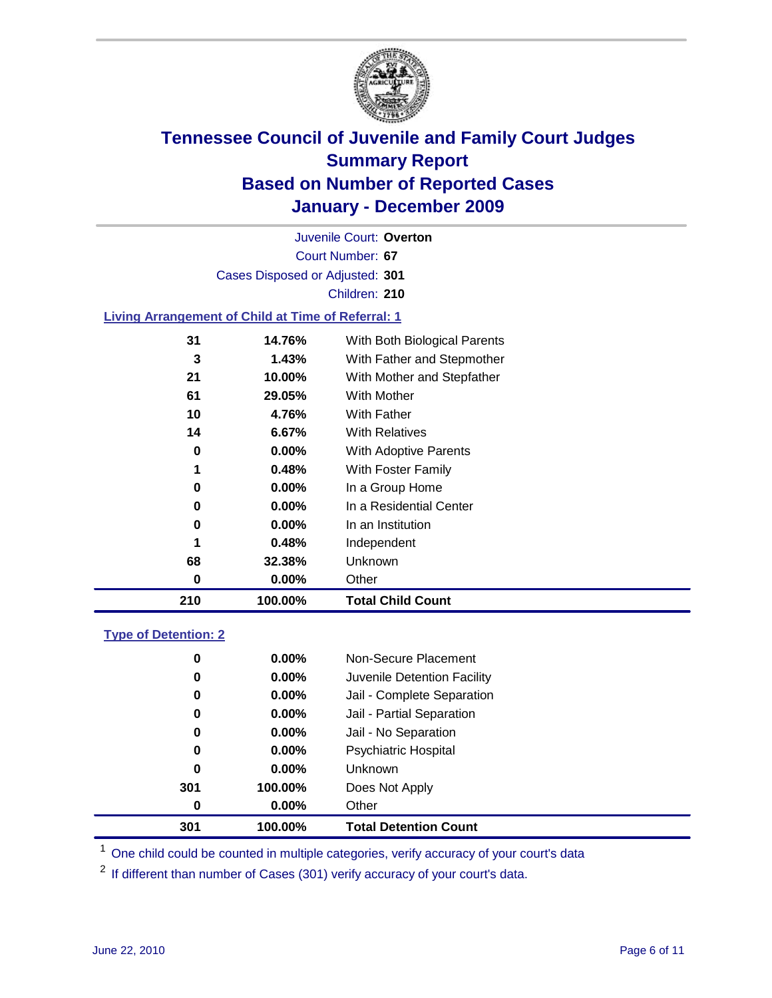

Court Number: **67** Juvenile Court: **Overton** Cases Disposed or Adjusted: **301** Children: **210**

### **Living Arrangement of Child at Time of Referral: 1**

|    |          | <b>Total Child Count</b>     |
|----|----------|------------------------------|
| 0  | 0.00%    | Other                        |
| 68 | 32.38%   | Unknown                      |
| 1  | 0.48%    | Independent                  |
| 0  | 0.00%    | In an Institution            |
| 0  | $0.00\%$ | In a Residential Center      |
| 0  | 0.00%    | In a Group Home              |
| 1  | 0.48%    | With Foster Family           |
| 0  | 0.00%    | With Adoptive Parents        |
| 14 | 6.67%    | <b>With Relatives</b>        |
| 10 | 4.76%    | With Father                  |
| 61 | 29.05%   | With Mother                  |
| 21 | 10.00%   | With Mother and Stepfather   |
| 3  | 1.43%    | With Father and Stepmother   |
| 31 | 14.76%   | With Both Biological Parents |
|    |          | 210<br>100.00%               |

### **Type of Detention: 2**

| 301      | 100.00%  | <b>Total Detention Count</b> |  |
|----------|----------|------------------------------|--|
| 0        | $0.00\%$ | Other                        |  |
| 301      | 100.00%  | Does Not Apply               |  |
| 0        | $0.00\%$ | Unknown                      |  |
| 0        | 0.00%    | <b>Psychiatric Hospital</b>  |  |
| $\bf{0}$ | 0.00%    | Jail - No Separation         |  |
| 0        | $0.00\%$ | Jail - Partial Separation    |  |
| 0        | $0.00\%$ | Jail - Complete Separation   |  |
| 0        | 0.00%    | Juvenile Detention Facility  |  |
| 0        | $0.00\%$ | Non-Secure Placement         |  |
|          |          |                              |  |

<sup>1</sup> One child could be counted in multiple categories, verify accuracy of your court's data

<sup>2</sup> If different than number of Cases (301) verify accuracy of your court's data.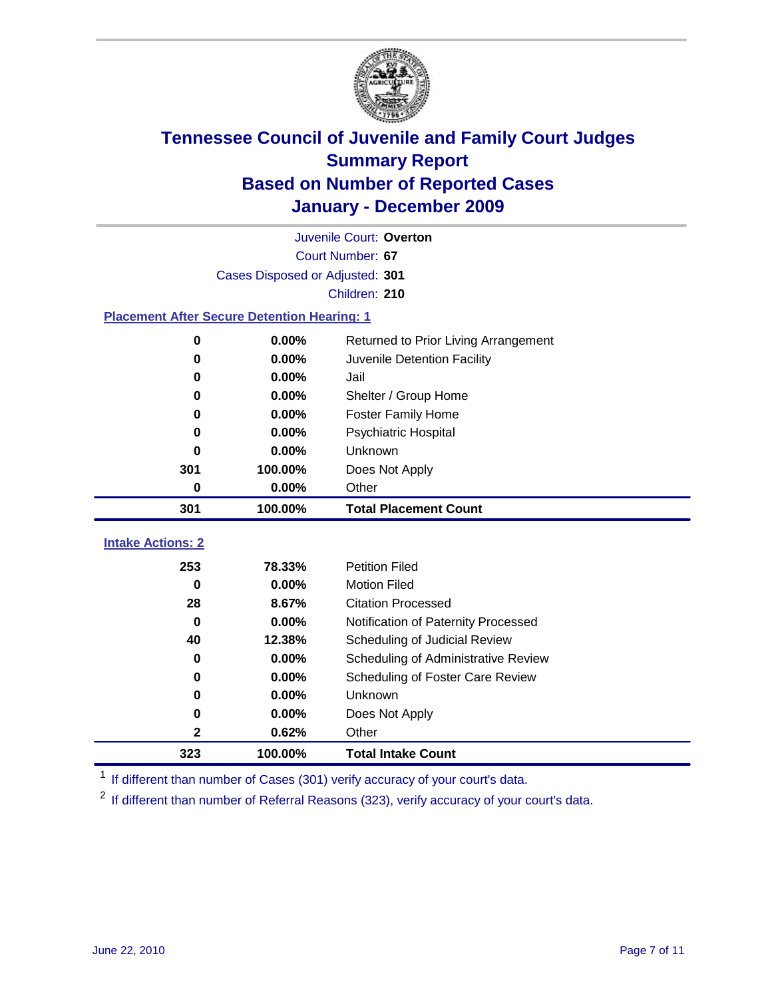

|                                                    | Juvenile Court: Overton         |                                      |  |  |  |
|----------------------------------------------------|---------------------------------|--------------------------------------|--|--|--|
|                                                    | Court Number: 67                |                                      |  |  |  |
|                                                    | Cases Disposed or Adjusted: 301 |                                      |  |  |  |
|                                                    |                                 | Children: 210                        |  |  |  |
| <b>Placement After Secure Detention Hearing: 1</b> |                                 |                                      |  |  |  |
| 0                                                  | 0.00%                           | Returned to Prior Living Arrangement |  |  |  |
| $\bf{0}$                                           | 0.00%                           | Juvenile Detention Facility          |  |  |  |
| 0                                                  | 0.00%                           | Jail                                 |  |  |  |
| $\bf{0}$                                           | 0.00%                           | Shelter / Group Home                 |  |  |  |
| 0                                                  | 0.00%                           | <b>Foster Family Home</b>            |  |  |  |
| 0                                                  | 0.00%                           | <b>Psychiatric Hospital</b>          |  |  |  |
| 0                                                  | 0.00%                           | Unknown                              |  |  |  |
| 301                                                | 100.00%                         | Does Not Apply                       |  |  |  |
| 0                                                  | 0.00%                           | Other                                |  |  |  |
| 301                                                | 100.00%                         | <b>Total Placement Count</b>         |  |  |  |
| <b>Intake Actions: 2</b>                           |                                 |                                      |  |  |  |
|                                                    |                                 |                                      |  |  |  |
| 253                                                | 78.33%                          | <b>Petition Filed</b>                |  |  |  |
| $\bf{0}$                                           | 0.00%                           | <b>Motion Filed</b>                  |  |  |  |
| 28                                                 | 8.67%                           | <b>Citation Processed</b>            |  |  |  |
| $\bf{0}$                                           | 0.00%                           | Notification of Paternity Processed  |  |  |  |
| 40                                                 | 12.38%                          | Scheduling of Judicial Review        |  |  |  |
| 0                                                  | 0.00%                           | Scheduling of Administrative Review  |  |  |  |
| 0                                                  | 0.00%                           | Scheduling of Foster Care Review     |  |  |  |
| $\bf{0}$                                           | 0.00%                           | Unknown                              |  |  |  |
| 0                                                  | 0.00%                           | Does Not Apply                       |  |  |  |
| 2                                                  | 0.62%                           | Other                                |  |  |  |
| 323                                                | 100.00%                         | <b>Total Intake Count</b>            |  |  |  |

<sup>1</sup> If different than number of Cases (301) verify accuracy of your court's data.

<sup>2</sup> If different than number of Referral Reasons (323), verify accuracy of your court's data.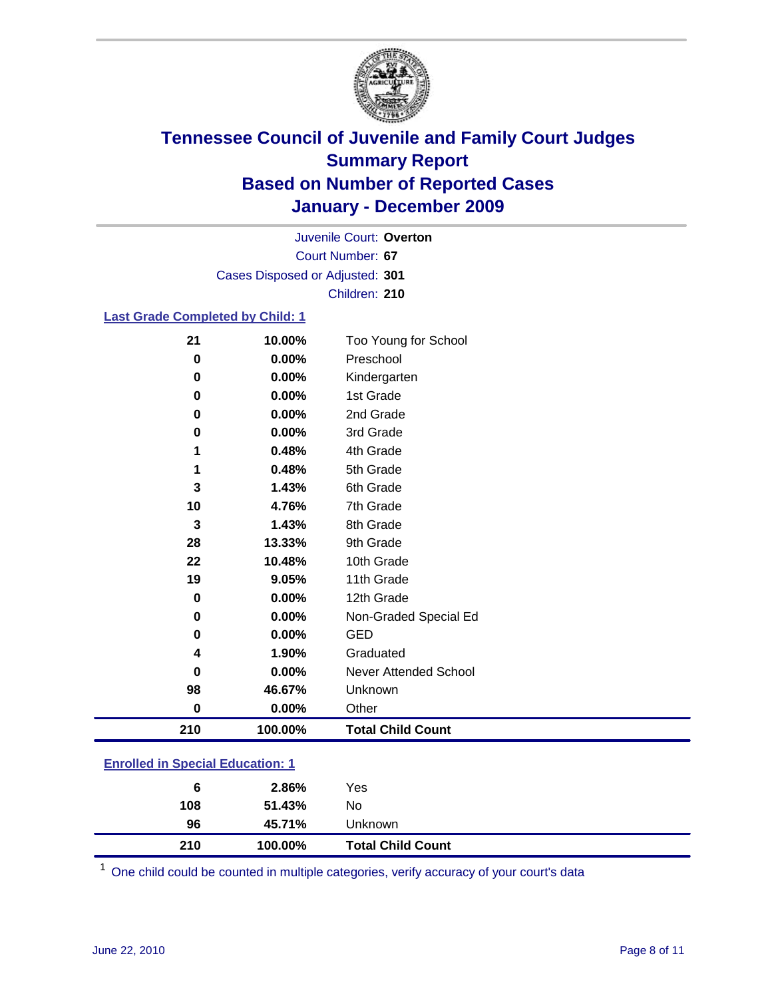

Court Number: **67** Juvenile Court: **Overton** Cases Disposed or Adjusted: **301** Children: **210**

### **Last Grade Completed by Child: 1**

| 21                                      | 10.00%  | Too Young for School         |  |
|-----------------------------------------|---------|------------------------------|--|
| $\bf{0}$                                | 0.00%   | Preschool                    |  |
| $\bf{0}$                                | 0.00%   | Kindergarten                 |  |
| 0                                       | 0.00%   | 1st Grade                    |  |
| 0                                       | 0.00%   | 2nd Grade                    |  |
| $\bf{0}$                                | 0.00%   | 3rd Grade                    |  |
| 1                                       | 0.48%   | 4th Grade                    |  |
| 1                                       | 0.48%   | 5th Grade                    |  |
| 3                                       | 1.43%   | 6th Grade                    |  |
| 10                                      | 4.76%   | 7th Grade                    |  |
| $\mathbf 3$                             | 1.43%   | 8th Grade                    |  |
| 28                                      | 13.33%  | 9th Grade                    |  |
| 22                                      | 10.48%  | 10th Grade                   |  |
| 19                                      | 9.05%   | 11th Grade                   |  |
| $\bf{0}$                                | 0.00%   | 12th Grade                   |  |
| 0                                       | 0.00%   | Non-Graded Special Ed        |  |
| $\bf{0}$                                | 0.00%   | <b>GED</b>                   |  |
| 4                                       | 1.90%   | Graduated                    |  |
| 0                                       | 0.00%   | <b>Never Attended School</b> |  |
| 98                                      | 46.67%  | Unknown                      |  |
| $\bf{0}$                                | 0.00%   | Other                        |  |
| 210                                     | 100.00% | <b>Total Child Count</b>     |  |
| <b>Enrolled in Special Education: 1</b> |         |                              |  |

| 210                                   | 100.00% | <b>Total Child Count</b> |  |  |
|---------------------------------------|---------|--------------------------|--|--|
| 96                                    | 45.71%  | <b>Unknown</b>           |  |  |
| 108                                   | 51.43%  | No                       |  |  |
| 6                                     | 2.86%   | Yes                      |  |  |
| <u>Embreu III opecial Eugeanon. T</u> |         |                          |  |  |

One child could be counted in multiple categories, verify accuracy of your court's data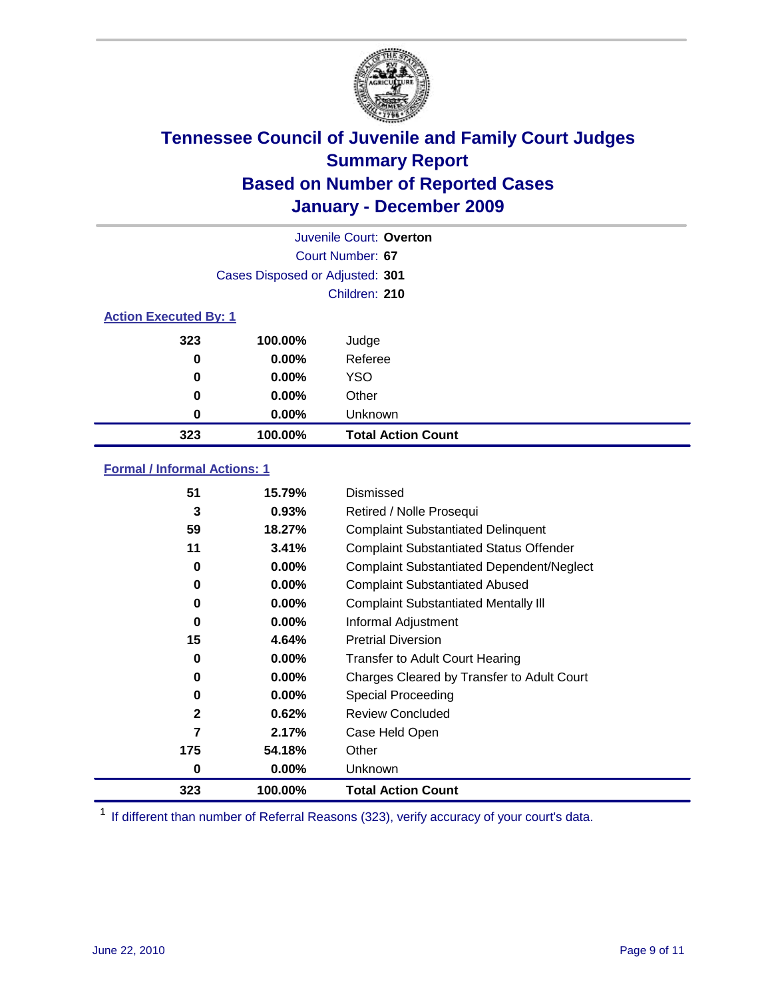

| Juvenile Court: Overton      |                                 |                           |  |  |  |
|------------------------------|---------------------------------|---------------------------|--|--|--|
|                              | Court Number: 67                |                           |  |  |  |
|                              | Cases Disposed or Adjusted: 301 |                           |  |  |  |
|                              |                                 | Children: 210             |  |  |  |
| <b>Action Executed By: 1</b> |                                 |                           |  |  |  |
| 323                          | 100.00%                         | Judge                     |  |  |  |
| 0                            | $0.00\%$                        | Referee                   |  |  |  |
| 0                            | $0.00\%$                        | <b>YSO</b>                |  |  |  |
| 0                            | $0.00\%$                        | Other                     |  |  |  |
| 0                            | 0.00%                           | Unknown                   |  |  |  |
| 323                          | 100.00%                         | <b>Total Action Count</b> |  |  |  |

### **Formal / Informal Actions: 1**

| 51           | 15.79%   | Dismissed                                        |
|--------------|----------|--------------------------------------------------|
| 3            | 0.93%    | Retired / Nolle Prosequi                         |
| 59           | 18.27%   | <b>Complaint Substantiated Delinquent</b>        |
| 11           | 3.41%    | <b>Complaint Substantiated Status Offender</b>   |
| 0            | 0.00%    | <b>Complaint Substantiated Dependent/Neglect</b> |
| 0            | $0.00\%$ | <b>Complaint Substantiated Abused</b>            |
| 0            | $0.00\%$ | <b>Complaint Substantiated Mentally III</b>      |
| 0            | $0.00\%$ | Informal Adjustment                              |
| 15           | 4.64%    | <b>Pretrial Diversion</b>                        |
| 0            | $0.00\%$ | <b>Transfer to Adult Court Hearing</b>           |
| 0            | 0.00%    | Charges Cleared by Transfer to Adult Court       |
| 0            | $0.00\%$ | Special Proceeding                               |
| $\mathbf{2}$ | 0.62%    | <b>Review Concluded</b>                          |
| 7            | 2.17%    | Case Held Open                                   |
| 175          | 54.18%   | Other                                            |
| 0            | $0.00\%$ | Unknown                                          |
| 323          | 100.00%  | <b>Total Action Count</b>                        |

<sup>1</sup> If different than number of Referral Reasons (323), verify accuracy of your court's data.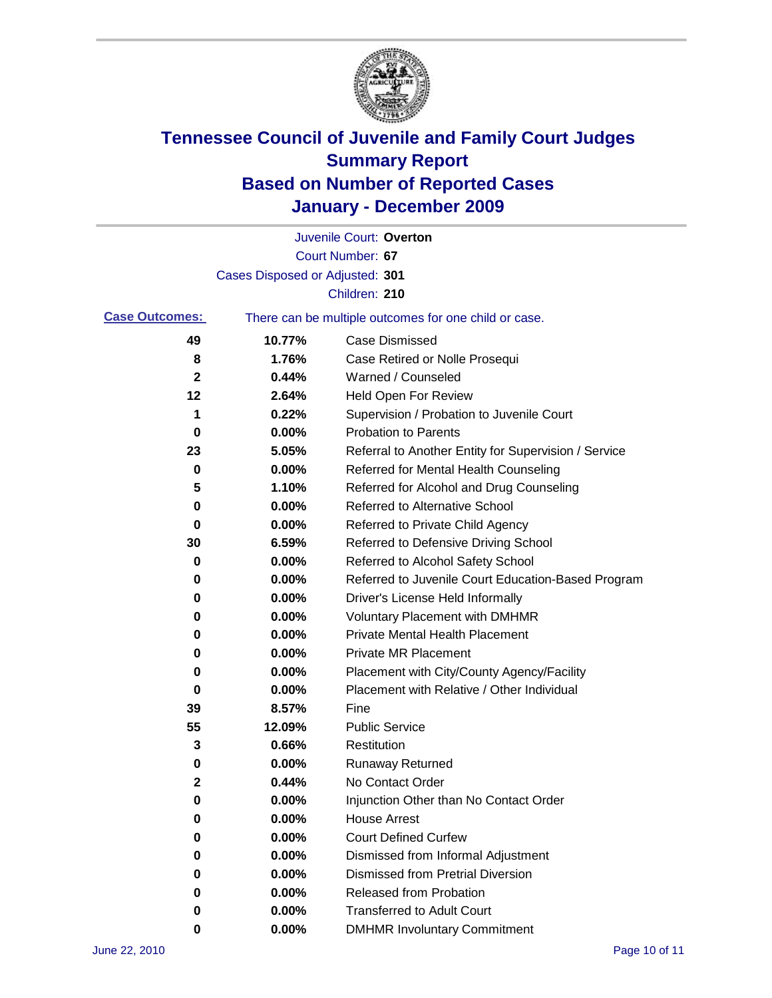

|                       |                                 | Juvenile Court: Overton                               |
|-----------------------|---------------------------------|-------------------------------------------------------|
|                       |                                 | Court Number: 67                                      |
|                       | Cases Disposed or Adjusted: 301 |                                                       |
|                       |                                 | Children: 210                                         |
| <b>Case Outcomes:</b> |                                 | There can be multiple outcomes for one child or case. |
| 49                    | 10.77%                          | <b>Case Dismissed</b>                                 |
| 8                     | 1.76%                           | Case Retired or Nolle Prosequi                        |
| $\mathbf{2}$          | 0.44%                           | Warned / Counseled                                    |
| 12                    | 2.64%                           | Held Open For Review                                  |
| 1                     | 0.22%                           | Supervision / Probation to Juvenile Court             |
| 0                     | 0.00%                           | <b>Probation to Parents</b>                           |
| 23                    | 5.05%                           | Referral to Another Entity for Supervision / Service  |
| 0                     | 0.00%                           | Referred for Mental Health Counseling                 |
| 5                     | 1.10%                           | Referred for Alcohol and Drug Counseling              |
| 0                     | 0.00%                           | <b>Referred to Alternative School</b>                 |
| 0                     | 0.00%                           | Referred to Private Child Agency                      |
| 30                    | 6.59%                           | Referred to Defensive Driving School                  |
| 0                     | 0.00%                           | Referred to Alcohol Safety School                     |
| 0                     | 0.00%                           | Referred to Juvenile Court Education-Based Program    |
| 0                     | 0.00%                           | Driver's License Held Informally                      |
| 0                     | 0.00%                           | <b>Voluntary Placement with DMHMR</b>                 |
| 0                     | 0.00%                           | <b>Private Mental Health Placement</b>                |
| 0                     | 0.00%                           | <b>Private MR Placement</b>                           |
| 0                     | 0.00%                           | Placement with City/County Agency/Facility            |
| 0                     | 0.00%                           | Placement with Relative / Other Individual            |
| 39                    | 8.57%                           | Fine                                                  |
| 55                    | 12.09%                          | <b>Public Service</b>                                 |
| 3                     | 0.66%                           | Restitution                                           |
| 0                     | 0.00%                           | <b>Runaway Returned</b>                               |
| 2                     | 0.44%                           | No Contact Order                                      |
| 0                     | 0.00%                           | Injunction Other than No Contact Order                |
| 0                     | 0.00%                           | <b>House Arrest</b>                                   |
| 0                     | $0.00\%$                        | <b>Court Defined Curfew</b>                           |
| 0                     | $0.00\%$                        | Dismissed from Informal Adjustment                    |
| 0                     | $0.00\%$                        | <b>Dismissed from Pretrial Diversion</b>              |
| 0                     | 0.00%                           | Released from Probation                               |
| 0                     | 0.00%                           | <b>Transferred to Adult Court</b>                     |
| 0                     | $0.00\%$                        | <b>DMHMR Involuntary Commitment</b>                   |